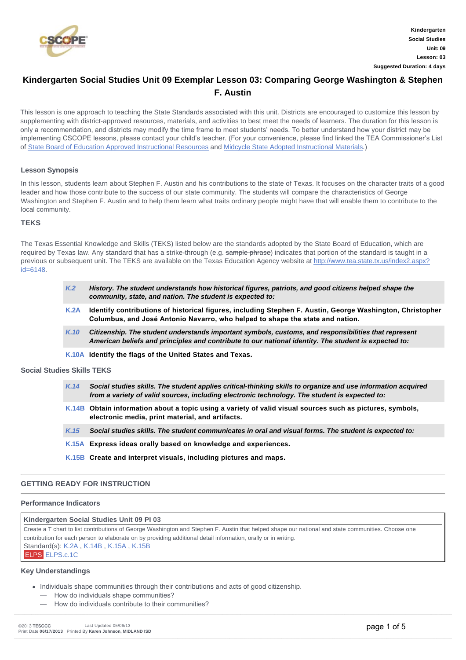

## **Kindergarten Social Studies Unit 09 Exemplar Lesson 03: Comparing George Washington & Stephen F. Austin**

This lesson is one approach to teaching the State Standards associated with this unit. Districts are encouraged to customize this lesson by supplementing with district-approved resources, materials, and activities to best meet the needs of learners. The duration for this lesson is only a recommendation, and districts may modify the time frame to meet students' needs. To better understand how your district may be implementing CSCOPE lessons, please contact your child's teacher. (For your convenience, please find linked the TEA Commissioner's List of [State Board of Education Approved Instructional Resources](http://www.tea.state.tx.us/WorkArea/DownloadAsset.aspx?id=2147512039) and [Midcycle State Adopted Instructional Materials](http://www.tea.state.tx.us/WorkArea/DownloadAsset.aspx?id=2147512040).)

#### **Lesson Synopsis**

In this lesson, students learn about Stephen F. Austin and his contributions to the state of Texas. It focuses on the character traits of a good leader and how those contribute to the success of our state community. The students will compare the characteristics of George Washington and Stephen F. Austin and to help them learn what traits ordinary people might have that will enable them to contribute to the local community.

#### **TEKS**

The Texas Essential Knowledge and Skills (TEKS) listed below are the standards adopted by the State Board of Education, which are required by Texas law. Any standard that has a strike-through (e.g. sample phrase) indicates that portion of the standard is taught in a [previous or subsequent unit. The TEKS are available on the Texas Education Agency website at http://www.tea.state.tx.us/index2.aspx?](http://www.tea.state.tx.us/index2.aspx?id=6148) id=6148.

| K <sub>2</sub> | History. The student understands how historical figures, patriots, and good citizens helped shape the<br>community, state, and nation. The student is expected to:                         |
|----------------|--------------------------------------------------------------------------------------------------------------------------------------------------------------------------------------------|
| K.2A           | Identify contributions of historical figures, including Stephen F. Austin, George Washington, Christopher<br>Columbus, and José Antonio Navarro, who helped to shape the state and nation. |

- *[K.10](about:/module/standards/Tools/Browse?StandardId=110695) Citizenship. The student understands important symbols, customs, and responsibilities that represent American beliefs and principles and contribute to our national identity. The student is expected to:*
- **[K.10A](about:/module/standards/Tools/Browse?StandardId=110696) Identify the flags of the United States and Texas.**

### **Social Studies Skills TEKS**

- *[K.14](about:/module/standards/Tools/Browse?StandardId=110735) Social studies skills. The student applies critical-thinking skills to organize and use information acquired from a variety of valid sources, including electronic technology. The student is expected to:* **[K.14B](about:/module/standards/Tools/Browse?StandardId=110739) Obtain information about a topic using a variety of valid visual sources such as pictures, symbols,**
- **electronic media, print material, and artifacts.** *[K.15](about:/module/standards/Tools/Browse?StandardId=110745) Social studies skills. The student communicates in oral and visual forms. The student is expected to:*
- **[K.15A](about:/module/standards/Tools/Browse?StandardId=110746) Express ideas orally based on knowledge and experiences.**
- **[K.15B](about:/module/standards/Tools/Browse?StandardId=110749) Create and interpret visuals, including pictures and maps.**

#### **GETTING READY FOR INSTRUCTION**

#### **Performance Indicators**

| Kindergarten Social Studies Unit 09 PI 03                                                                                                          |  |  |  |
|----------------------------------------------------------------------------------------------------------------------------------------------------|--|--|--|
| Create a T chart to list contributions of George Washington and Stephen F. Austin that helped shape our national and state communities. Choose one |  |  |  |
| contribution for each person to elaborate on by providing additional detail information, orally or in writing.                                     |  |  |  |
| Standard(s): K.2A, K.14B, K.15A, K.15B                                                                                                             |  |  |  |
| ELPS ELPS.c.1C                                                                                                                                     |  |  |  |

#### **Key Understandings**

- Individuals shape communities through their contributions and acts of good citizenship.
	- How do individuals shape communities?
	- How do individuals contribute to their communities?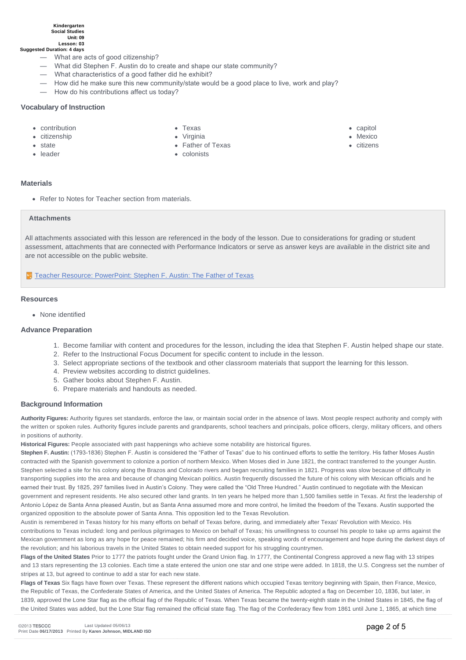#### **Kindergarten Social Studies Unit: 09 Lesson: 03**

**Suggested Duration: 4 days**

- What are acts of good citizenship?
- What did Stephen F. Austin do to create and shape our state community?
- What characteristics of a good father did he exhibit?
- How did he make sure this new community/state would be a good place to live, work and play?
- How do his contributions affect us today?

#### **Vocabulary of Instruction**

• contribution • citizenship

Texas

- capitol
- Mexico
- citizens
- **s** state
- leader
- Virginia
- Father of Texas
- colonists

#### **Materials**

• Refer to Notes for Teacher section from materials.

#### **Attachments**

All attachments associated with this lesson are referenced in the body of the lesson. Due to considerations for grading or student assessment, attachments that are connected with Performance Indicators or serve as answer keys are available in the district site and are not accessible on the public website.

**T** [Teacher Resource: PowerPoint: Stephen F. Austin: The Father of Texas](http://files5.mycscope.us/057139067207193074244053137193063094174102077060/Download.ashx?hash=2.2)

#### **Resources**

• None identified

#### **Advance Preparation**

- 1. Become familiar with content and procedures for the lesson, including the idea that Stephen F. Austin helped shape our state.
- 2. Refer to the Instructional Focus Document for specific content to include in the lesson.
- 3. Select appropriate sections of the textbook and other classroom materials that support the learning for this lesson.
- 4. Preview websites according to district guidelines.
- 5. Gather books about Stephen F. Austin.
- 6. Prepare materials and handouts as needed.

#### **Background Information**

**Authority Figures:** Authority figures set standards, enforce the law, or maintain social order in the absence of laws. Most people respect authority and comply with the written or spoken rules. Authority figures include parents and grandparents, school teachers and principals, police officers, clergy, military officers, and others in positions of authority.

**Historical Figures:** People associated with past happenings who achieve some notability are historical figures.

Stephen F. Austin: (1793-1836) Stephen F. Austin is considered the "Father of Texas" due to his continued efforts to settle the territory. His father Moses Austin contracted with the Spanish government to colonize a portion of northern Mexico. When Moses died in June 1821, the contract transferred to the younger Austin. Stephen selected a site for his colony along the Brazos and Colorado rivers and began recruiting families in 1821. Progress was slow because of difficulty in transporting supplies into the area and because of changing Mexican politics. Austin frequently discussed the future of his colony with Mexican officials and he earned their trust. By 1825, 297 families lived in Austin's Colony. They were called the "Old Three Hundred." Austin continued to negotiate with the Mexican government and represent residents. He also secured other land grants. In ten years he helped more than 1,500 families settle in Texas. At first the leadership of Antonio López de Santa Anna pleased Austin, but as Santa Anna assumed more and more control, he limited the freedom of the Texans. Austin supported the organized opposition to the absolute power of Santa Anna. This opposition led to the Texas Revolution.

Austin is remembered in Texas history for his many efforts on behalf of Texas before, during, and immediately after Texas' Revolution with Mexico. His contributions to Texas included: long and perilous pilgrimages to Mexico on behalf of Texas; his unwillingness to counsel his people to take up arms against the Mexican government as long as any hope for peace remained; his firm and decided voice, speaking words of encouragement and hope during the darkest days of the revolution; and his laborious travels in the United States to obtain needed support for his struggling countrymen.

**Flags of the United States** Prior to 1777 the patriots fought under the Grand Union flag. In 1777, the Continental Congress approved a new flag with 13 stripes and 13 stars representing the 13 colonies. Each time a state entered the union one star and one stripe were added. In 1818, the U.S. Congress set the number of stripes at 13, but agreed to continue to add a star for each new state.

Flags of Texas Six flags have flown over Texas. These represent the different nations which occupied Texas territory beginning with Spain, then France, Mexico, the Republic of Texas, the Confederate States of America, and the United States of America. The Republic adopted a flag on December 10, 1836, but later, in 1839, approved the Lone Star flag as the official flag of the Republic of Texas. When Texas became the twenty-eighth state in the United States in 1845, the flag of the United States was added, but the Lone Star flag remained the official state flag. The flag of the Confederacy flew from 1861 until June 1, 1865, at which time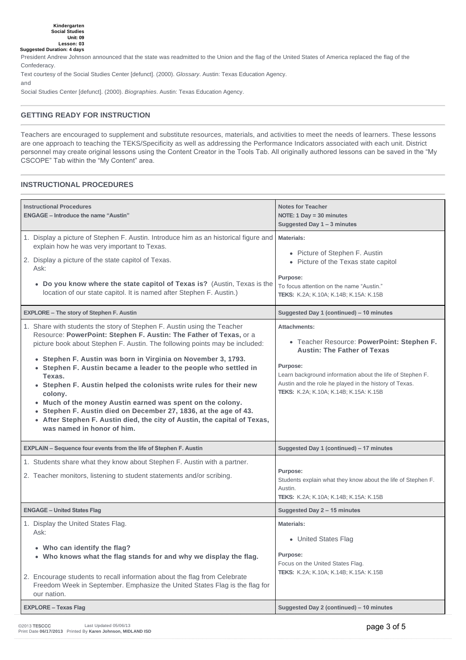President Andrew Johnson announced that the state was readmitted to the Union and the flag of the United States of America replaced the flag of the Confederacy.

Text courtesy of the Social Studies Center [defunct]. (2000). *Glossary*. Austin: Texas Education Agency.

and

Social Studies Center [defunct]. (2000). *Biographies*. Austin: Texas Education Agency.

#### **GETTING READY FOR INSTRUCTION**

Teachers are encouraged to supplement and substitute resources, materials, and activities to meet the needs of learners. These lessons are one approach to teaching the TEKS/Specificity as well as addressing the Performance Indicators associated with each unit. District personnel may create original lessons using the Content Creator in the Tools Tab. All originally authored lessons can be saved in the "My CSCOPE" Tab within the "My Content" area.

#### **INSTRUCTIONAL PROCEDURES**

| <b>Instructional Procedures</b><br><b>ENGAGE - Introduce the name "Austin"</b>                                                                                                                                                                                                                                                                                                                                                                                                                                                                                                                                                                                                                            | <b>Notes for Teacher</b><br>NOTE: $1$ Day = $30$ minutes<br>Suggested Day 1 - 3 minutes                                                                                                                                                                                                     |
|-----------------------------------------------------------------------------------------------------------------------------------------------------------------------------------------------------------------------------------------------------------------------------------------------------------------------------------------------------------------------------------------------------------------------------------------------------------------------------------------------------------------------------------------------------------------------------------------------------------------------------------------------------------------------------------------------------------|---------------------------------------------------------------------------------------------------------------------------------------------------------------------------------------------------------------------------------------------------------------------------------------------|
| 1. Display a picture of Stephen F. Austin. Introduce him as an historical figure and<br>explain how he was very important to Texas.<br>2. Display a picture of the state capitol of Texas.<br>Ask:<br>• Do you know where the state capitol of Texas is? (Austin, Texas is the<br>location of our state capitol. It is named after Stephen F. Austin.)                                                                                                                                                                                                                                                                                                                                                    | Materials:<br>• Picture of Stephen F. Austin<br>• Picture of the Texas state capitol<br>Purpose:<br>To focus attention on the name "Austin."<br><b>TEKS:</b> K.2A; K.10A; K.14B; K.15A: K.15B                                                                                               |
| <b>EXPLORE - The story of Stephen F. Austin</b>                                                                                                                                                                                                                                                                                                                                                                                                                                                                                                                                                                                                                                                           | Suggested Day 1 (continued) - 10 minutes                                                                                                                                                                                                                                                    |
| 1. Share with students the story of Stephen F. Austin using the Teacher<br>Resource: PowerPoint: Stephen F. Austin: The Father of Texas, or a<br>picture book about Stephen F. Austin. The following points may be included:<br>• Stephen F. Austin was born in Virginia on November 3, 1793.<br>• Stephen F. Austin became a leader to the people who settled in<br>Texas.<br>• Stephen F. Austin helped the colonists write rules for their new<br>colony.<br>• Much of the money Austin earned was spent on the colony.<br>• Stephen F. Austin died on December 27, 1836, at the age of 43.<br>• After Stephen F. Austin died, the city of Austin, the capital of Texas,<br>was named in honor of him. | <b>Attachments:</b><br>• Teacher Resource: PowerPoint: Stephen F.<br><b>Austin: The Father of Texas</b><br>Purpose:<br>Learn background information about the life of Stephen F.<br>Austin and the role he played in the history of Texas.<br><b>TEKS:</b> K.2A; K.10A; K.14B; K.15A: K.15B |
| <b>EXPLAIN - Sequence four events from the life of Stephen F. Austin</b>                                                                                                                                                                                                                                                                                                                                                                                                                                                                                                                                                                                                                                  | Suggested Day 1 (continued) - 17 minutes                                                                                                                                                                                                                                                    |
| 1. Students share what they know about Stephen F. Austin with a partner.<br>2. Teacher monitors, listening to student statements and/or scribing.                                                                                                                                                                                                                                                                                                                                                                                                                                                                                                                                                         | Purpose:<br>Students explain what they know about the life of Stephen F.<br>Austin.<br>TEKS: K.2A; K.10A; K.14B; K.15A: K.15B                                                                                                                                                               |
| <b>ENGAGE - United States Flag</b>                                                                                                                                                                                                                                                                                                                                                                                                                                                                                                                                                                                                                                                                        | Suggested Day 2 - 15 minutes                                                                                                                                                                                                                                                                |
| 1. Display the United States Flag.<br>Ask:<br>• Who can identify the flag?<br>• Who knows what the flag stands for and why we display the flag.<br>2. Encourage students to recall information about the flag from Celebrate<br>Freedom Week in September. Emphasize the United States Flag is the flag for<br>our nation.                                                                                                                                                                                                                                                                                                                                                                                | <b>Materials:</b><br>• United States Flag<br>Purpose:<br>Focus on the United States Flag.<br>TEKS: K.2A; K.10A; K.14B; K.15A: K.15B                                                                                                                                                         |
| <b>EXPLORE - Texas Flag</b>                                                                                                                                                                                                                                                                                                                                                                                                                                                                                                                                                                                                                                                                               | Suggested Day 2 (continued) - 10 minutes                                                                                                                                                                                                                                                    |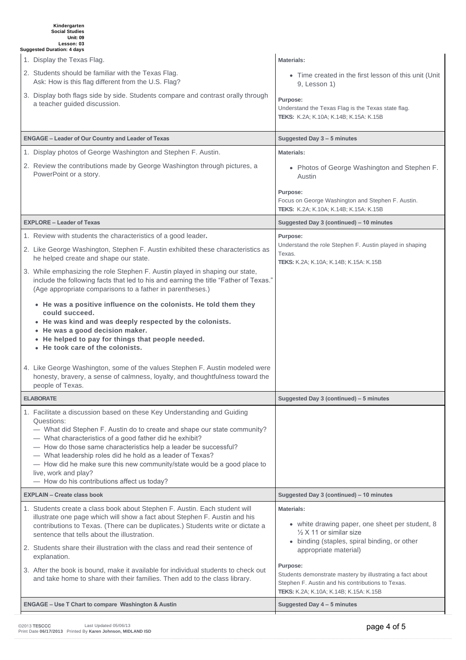# **Kindergarten Social Studies Unit: 09 Lesson: 03 Suggested Duration: 4 days**

| 1. Display the Texas Flag.<br><b>Materials:</b><br>2. Students should be familiar with the Texas Flag.<br>• Time created in the first lesson of this unit (Unit<br>Ask: How is this flag different from the U.S. Flag?<br>9, Lesson 1)<br>3. Display both flags side by side. Students compare and contrast orally through<br>Purpose:<br>a teacher guided discussion.<br>Understand the Texas Flag is the Texas state flag.<br><b>TEKS:</b> K.2A; K.10A; K.14B; K.15A: K.15B<br><b>ENGAGE - Leader of Our Country and Leader of Texas</b><br>Suggested Day 3 - 5 minutes<br>1. Display photos of George Washington and Stephen F. Austin.<br><b>Materials:</b><br>2. Review the contributions made by George Washington through pictures, a<br>• Photos of George Washington and Stephen F.<br>PowerPoint or a story.<br>Austin<br>Purpose:<br>Focus on George Washington and Stephen F. Austin.<br>TEKS: K.2A; K.10A; K.14B; K.15A: K.15B<br><b>EXPLORE - Leader of Texas</b><br>Suggested Day 3 (continued) - 10 minutes<br>1. Review with students the characteristics of a good leader.<br>Purpose:<br>Understand the role Stephen F. Austin played in shaping<br>2. Like George Washington, Stephen F. Austin exhibited these characteristics as<br>Texas.<br>he helped create and shape our state.<br>TEKS: K.2A; K.10A; K.14B; K.15A: K.15B<br>3. While emphasizing the role Stephen F. Austin played in shaping our state,<br>include the following facts that led to his and earning the title "Father of Texas."<br>(Age appropriate comparisons to a father in parentheses.)<br>• He was a positive influence on the colonists. He told them they<br>could succeed.<br>• He was kind and was deeply respected by the colonists.<br>• He was a good decision maker.<br>• He helped to pay for things that people needed.<br>• He took care of the colonists.<br>4. Like George Washington, some of the values Stephen F. Austin modeled were<br>honesty, bravery, a sense of calmness, loyalty, and thoughtfulness toward the<br>people of Texas.<br><b>ELABORATE</b><br>Suggested Day 3 (continued) - 5 minutes<br>1. Facilitate a discussion based on these Key Understanding and Guiding<br>Questions:<br>- What did Stephen F. Austin do to create and shape our state community?<br>- What characteristics of a good father did he exhibit?<br>- How do those same characteristics help a leader be successful?<br>- What leadership roles did he hold as a leader of Texas?<br>- How did he make sure this new community/state would be a good place to<br>live, work and play?<br>- How do his contributions affect us today?<br><b>EXPLAIN - Create class book</b><br>Suggested Day 3 (continued) - 10 minutes<br>1. Students create a class book about Stephen F. Austin. Each student will<br><b>Materials:</b><br>illustrate one page which will show a fact about Stephen F. Austin and his<br>• white drawing paper, one sheet per student, 8<br>contributions to Texas. (There can be duplicates.) Students write or dictate a<br>$\frac{1}{2}$ X 11 or similar size<br>sentence that tells about the illustration.<br>• binding (staples, spiral binding, or other<br>2. Students share their illustration with the class and read their sentence of<br>appropriate material)<br>explanation. |
|-------------------------------------------------------------------------------------------------------------------------------------------------------------------------------------------------------------------------------------------------------------------------------------------------------------------------------------------------------------------------------------------------------------------------------------------------------------------------------------------------------------------------------------------------------------------------------------------------------------------------------------------------------------------------------------------------------------------------------------------------------------------------------------------------------------------------------------------------------------------------------------------------------------------------------------------------------------------------------------------------------------------------------------------------------------------------------------------------------------------------------------------------------------------------------------------------------------------------------------------------------------------------------------------------------------------------------------------------------------------------------------------------------------------------------------------------------------------------------------------------------------------------------------------------------------------------------------------------------------------------------------------------------------------------------------------------------------------------------------------------------------------------------------------------------------------------------------------------------------------------------------------------------------------------------------------------------------------------------------------------------------------------------------------------------------------------------------------------------------------------------------------------------------------------------------------------------------------------------------------------------------------------------------------------------------------------------------------------------------------------------------------------------------------------------------------------------------------------------------------------------------------------------------------------------------------------------------------------------------------------------------------------------------------------------------------------------------------------------------------------------------------------------------------------------------------------------------------------------------------------------------------------------------------------------------------------------------------------------------------------------------------------------------------------------------------------------------------------------------------------------------------------------------------------------------------------------------------------------------------------------------------------------------------------------------------------|
|                                                                                                                                                                                                                                                                                                                                                                                                                                                                                                                                                                                                                                                                                                                                                                                                                                                                                                                                                                                                                                                                                                                                                                                                                                                                                                                                                                                                                                                                                                                                                                                                                                                                                                                                                                                                                                                                                                                                                                                                                                                                                                                                                                                                                                                                                                                                                                                                                                                                                                                                                                                                                                                                                                                                                                                                                                                                                                                                                                                                                                                                                                                                                                                                                                                                                                                         |
|                                                                                                                                                                                                                                                                                                                                                                                                                                                                                                                                                                                                                                                                                                                                                                                                                                                                                                                                                                                                                                                                                                                                                                                                                                                                                                                                                                                                                                                                                                                                                                                                                                                                                                                                                                                                                                                                                                                                                                                                                                                                                                                                                                                                                                                                                                                                                                                                                                                                                                                                                                                                                                                                                                                                                                                                                                                                                                                                                                                                                                                                                                                                                                                                                                                                                                                         |
|                                                                                                                                                                                                                                                                                                                                                                                                                                                                                                                                                                                                                                                                                                                                                                                                                                                                                                                                                                                                                                                                                                                                                                                                                                                                                                                                                                                                                                                                                                                                                                                                                                                                                                                                                                                                                                                                                                                                                                                                                                                                                                                                                                                                                                                                                                                                                                                                                                                                                                                                                                                                                                                                                                                                                                                                                                                                                                                                                                                                                                                                                                                                                                                                                                                                                                                         |
|                                                                                                                                                                                                                                                                                                                                                                                                                                                                                                                                                                                                                                                                                                                                                                                                                                                                                                                                                                                                                                                                                                                                                                                                                                                                                                                                                                                                                                                                                                                                                                                                                                                                                                                                                                                                                                                                                                                                                                                                                                                                                                                                                                                                                                                                                                                                                                                                                                                                                                                                                                                                                                                                                                                                                                                                                                                                                                                                                                                                                                                                                                                                                                                                                                                                                                                         |
|                                                                                                                                                                                                                                                                                                                                                                                                                                                                                                                                                                                                                                                                                                                                                                                                                                                                                                                                                                                                                                                                                                                                                                                                                                                                                                                                                                                                                                                                                                                                                                                                                                                                                                                                                                                                                                                                                                                                                                                                                                                                                                                                                                                                                                                                                                                                                                                                                                                                                                                                                                                                                                                                                                                                                                                                                                                                                                                                                                                                                                                                                                                                                                                                                                                                                                                         |
|                                                                                                                                                                                                                                                                                                                                                                                                                                                                                                                                                                                                                                                                                                                                                                                                                                                                                                                                                                                                                                                                                                                                                                                                                                                                                                                                                                                                                                                                                                                                                                                                                                                                                                                                                                                                                                                                                                                                                                                                                                                                                                                                                                                                                                                                                                                                                                                                                                                                                                                                                                                                                                                                                                                                                                                                                                                                                                                                                                                                                                                                                                                                                                                                                                                                                                                         |
|                                                                                                                                                                                                                                                                                                                                                                                                                                                                                                                                                                                                                                                                                                                                                                                                                                                                                                                                                                                                                                                                                                                                                                                                                                                                                                                                                                                                                                                                                                                                                                                                                                                                                                                                                                                                                                                                                                                                                                                                                                                                                                                                                                                                                                                                                                                                                                                                                                                                                                                                                                                                                                                                                                                                                                                                                                                                                                                                                                                                                                                                                                                                                                                                                                                                                                                         |
|                                                                                                                                                                                                                                                                                                                                                                                                                                                                                                                                                                                                                                                                                                                                                                                                                                                                                                                                                                                                                                                                                                                                                                                                                                                                                                                                                                                                                                                                                                                                                                                                                                                                                                                                                                                                                                                                                                                                                                                                                                                                                                                                                                                                                                                                                                                                                                                                                                                                                                                                                                                                                                                                                                                                                                                                                                                                                                                                                                                                                                                                                                                                                                                                                                                                                                                         |
|                                                                                                                                                                                                                                                                                                                                                                                                                                                                                                                                                                                                                                                                                                                                                                                                                                                                                                                                                                                                                                                                                                                                                                                                                                                                                                                                                                                                                                                                                                                                                                                                                                                                                                                                                                                                                                                                                                                                                                                                                                                                                                                                                                                                                                                                                                                                                                                                                                                                                                                                                                                                                                                                                                                                                                                                                                                                                                                                                                                                                                                                                                                                                                                                                                                                                                                         |
|                                                                                                                                                                                                                                                                                                                                                                                                                                                                                                                                                                                                                                                                                                                                                                                                                                                                                                                                                                                                                                                                                                                                                                                                                                                                                                                                                                                                                                                                                                                                                                                                                                                                                                                                                                                                                                                                                                                                                                                                                                                                                                                                                                                                                                                                                                                                                                                                                                                                                                                                                                                                                                                                                                                                                                                                                                                                                                                                                                                                                                                                                                                                                                                                                                                                                                                         |
|                                                                                                                                                                                                                                                                                                                                                                                                                                                                                                                                                                                                                                                                                                                                                                                                                                                                                                                                                                                                                                                                                                                                                                                                                                                                                                                                                                                                                                                                                                                                                                                                                                                                                                                                                                                                                                                                                                                                                                                                                                                                                                                                                                                                                                                                                                                                                                                                                                                                                                                                                                                                                                                                                                                                                                                                                                                                                                                                                                                                                                                                                                                                                                                                                                                                                                                         |
|                                                                                                                                                                                                                                                                                                                                                                                                                                                                                                                                                                                                                                                                                                                                                                                                                                                                                                                                                                                                                                                                                                                                                                                                                                                                                                                                                                                                                                                                                                                                                                                                                                                                                                                                                                                                                                                                                                                                                                                                                                                                                                                                                                                                                                                                                                                                                                                                                                                                                                                                                                                                                                                                                                                                                                                                                                                                                                                                                                                                                                                                                                                                                                                                                                                                                                                         |
|                                                                                                                                                                                                                                                                                                                                                                                                                                                                                                                                                                                                                                                                                                                                                                                                                                                                                                                                                                                                                                                                                                                                                                                                                                                                                                                                                                                                                                                                                                                                                                                                                                                                                                                                                                                                                                                                                                                                                                                                                                                                                                                                                                                                                                                                                                                                                                                                                                                                                                                                                                                                                                                                                                                                                                                                                                                                                                                                                                                                                                                                                                                                                                                                                                                                                                                         |
|                                                                                                                                                                                                                                                                                                                                                                                                                                                                                                                                                                                                                                                                                                                                                                                                                                                                                                                                                                                                                                                                                                                                                                                                                                                                                                                                                                                                                                                                                                                                                                                                                                                                                                                                                                                                                                                                                                                                                                                                                                                                                                                                                                                                                                                                                                                                                                                                                                                                                                                                                                                                                                                                                                                                                                                                                                                                                                                                                                                                                                                                                                                                                                                                                                                                                                                         |
|                                                                                                                                                                                                                                                                                                                                                                                                                                                                                                                                                                                                                                                                                                                                                                                                                                                                                                                                                                                                                                                                                                                                                                                                                                                                                                                                                                                                                                                                                                                                                                                                                                                                                                                                                                                                                                                                                                                                                                                                                                                                                                                                                                                                                                                                                                                                                                                                                                                                                                                                                                                                                                                                                                                                                                                                                                                                                                                                                                                                                                                                                                                                                                                                                                                                                                                         |
|                                                                                                                                                                                                                                                                                                                                                                                                                                                                                                                                                                                                                                                                                                                                                                                                                                                                                                                                                                                                                                                                                                                                                                                                                                                                                                                                                                                                                                                                                                                                                                                                                                                                                                                                                                                                                                                                                                                                                                                                                                                                                                                                                                                                                                                                                                                                                                                                                                                                                                                                                                                                                                                                                                                                                                                                                                                                                                                                                                                                                                                                                                                                                                                                                                                                                                                         |
|                                                                                                                                                                                                                                                                                                                                                                                                                                                                                                                                                                                                                                                                                                                                                                                                                                                                                                                                                                                                                                                                                                                                                                                                                                                                                                                                                                                                                                                                                                                                                                                                                                                                                                                                                                                                                                                                                                                                                                                                                                                                                                                                                                                                                                                                                                                                                                                                                                                                                                                                                                                                                                                                                                                                                                                                                                                                                                                                                                                                                                                                                                                                                                                                                                                                                                                         |
|                                                                                                                                                                                                                                                                                                                                                                                                                                                                                                                                                                                                                                                                                                                                                                                                                                                                                                                                                                                                                                                                                                                                                                                                                                                                                                                                                                                                                                                                                                                                                                                                                                                                                                                                                                                                                                                                                                                                                                                                                                                                                                                                                                                                                                                                                                                                                                                                                                                                                                                                                                                                                                                                                                                                                                                                                                                                                                                                                                                                                                                                                                                                                                                                                                                                                                                         |
| Purpose:<br>3. After the book is bound, make it available for individual students to check out<br>Students demonstrate mastery by illustrating a fact about<br>and take home to share with their families. Then add to the class library.<br>Stephen F. Austin and his contributions to Texas.<br><b>TEKS:</b> K.2A; K.10A; K.14B; K.15A: K.15B                                                                                                                                                                                                                                                                                                                                                                                                                                                                                                                                                                                                                                                                                                                                                                                                                                                                                                                                                                                                                                                                                                                                                                                                                                                                                                                                                                                                                                                                                                                                                                                                                                                                                                                                                                                                                                                                                                                                                                                                                                                                                                                                                                                                                                                                                                                                                                                                                                                                                                                                                                                                                                                                                                                                                                                                                                                                                                                                                                         |
| <b>ENGAGE - Use T Chart to compare Washington &amp; Austin</b><br>Suggested Day 4 - 5 minutes                                                                                                                                                                                                                                                                                                                                                                                                                                                                                                                                                                                                                                                                                                                                                                                                                                                                                                                                                                                                                                                                                                                                                                                                                                                                                                                                                                                                                                                                                                                                                                                                                                                                                                                                                                                                                                                                                                                                                                                                                                                                                                                                                                                                                                                                                                                                                                                                                                                                                                                                                                                                                                                                                                                                                                                                                                                                                                                                                                                                                                                                                                                                                                                                                           |